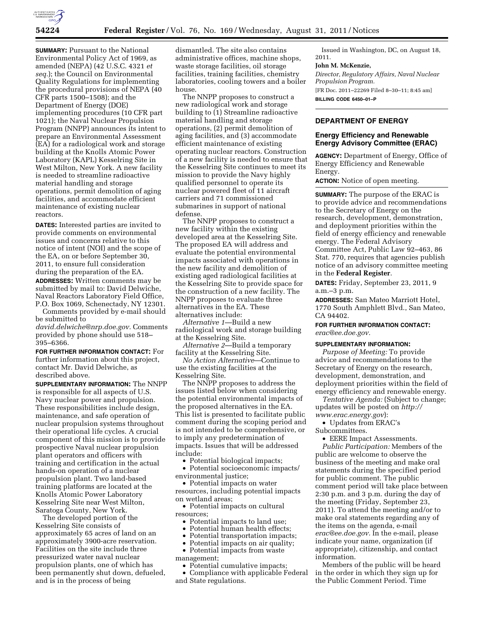

**SUMMARY: Pursuant to the National** Environmental Policy Act of 1969, as amended (NEPA) (42 U.S.C. 4321 *et seq.*); the Council on Environmental Quality Regulations for implementing the procedural provisions of NEPA (40 CFR parts 1500–1508); and the Department of Energy (DOE) implementing procedures (10 CFR part 1021); the Naval Nuclear Propulsion Program (NNPP) announces its intent to prepare an Environmental Assessment (EA) for a radiological work and storage building at the Knolls Atomic Power Laboratory (KAPL) Kesselring Site in West Milton, New York. A new facility is needed to streamline radioactive material handling and storage operations, permit demolition of aging facilities, and accommodate efficient maintenance of existing nuclear reactors.

**DATES:** Interested parties are invited to provide comments on environmental issues and concerns relative to this notice of intent (NOI) and the scope of the EA, on or before September 30, 2011, to ensure full consideration during the preparation of the EA.

**ADDRESSES:** Written comments may be submitted by mail to: David Delwiche, Naval Reactors Laboratory Field Office, P.O. Box 1069, Schenectady, NY 12301.

Comments provided by e-mail should be submitted to

*[david.delwiche@nrp.doe.gov.](mailto:david.delwiche@nrp.doe.gov)* Comments provided by phone should use 518– 395–6366.

**FOR FURTHER INFORMATION CONTACT:** For further information about this project, contact Mr. David Delwiche, as described above.

**SUPPLEMENTARY INFORMATION:** The NNPP is responsible for all aspects of U.S. Navy nuclear power and propulsion. These responsibilities include design, maintenance, and safe operation of nuclear propulsion systems throughout their operational life cycles. A crucial component of this mission is to provide prospective Naval nuclear propulsion plant operators and officers with training and certification in the actual hands-on operation of a nuclear propulsion plant. Two land-based training platforms are located at the Knolls Atomic Power Laboratory Kesselring Site near West Milton, Saratoga County, New York.

The developed portion of the Kesselring Site consists of approximately 65 acres of land on an approximately 3900-acre reservation. Facilities on the site include three pressurized water naval nuclear propulsion plants, one of which has been permanently shut down, defueled, and is in the process of being

dismantled. The site also contains administrative offices, machine shops, waste storage facilities, oil storage facilities, training facilities, chemistry laboratories, cooling towers and a boiler house.

The NNPP proposes to construct a new radiological work and storage building to (1) Streamline radioactive material handling and storage operations, (2) permit demolition of aging facilities, and (3) accommodate efficient maintenance of existing operating nuclear reactors. Construction of a new facility is needed to ensure that the Kesselring Site continues to meet its mission to provide the Navy highly qualified personnel to operate its nuclear powered fleet of 11 aircraft carriers and 71 commissioned submarines in support of national defense.

The NNPP proposes to construct a new facility within the existing developed area at the Kesselring Site. The proposed EA will address and evaluate the potential environmental impacts associated with operations in the new facility and demolition of existing aged radiological facilities at the Kesselring Site to provide space for the construction of a new facility. The NNPP proposes to evaluate three alternatives in the EA. These alternatives include:

*Alternative 1*—Build a new radiological work and storage building at the Kesselring Site.

*Alternative 2*—Build a temporary facility at the Kesselring Site.

*No Action Alternative*—Continue to use the existing facilities at the Kesselring Site.

The NNPP proposes to address the issues listed below when considering the potential environmental impacts of the proposed alternatives in the EA. This list is presented to facilitate public comment during the scoping period and is not intended to be comprehensive, or to imply any predetermination of impacts. Issues that will be addressed include:

• Potential biological impacts;

• Potential socioeconomic impacts/ environmental justice;

• Potential impacts on water resources, including potential impacts on wetland areas;

• Potential impacts on cultural resources;

- Potential impacts to land use;
- Potential human health effects;
- Potential transportation impacts;
- Potential impacts on air quality;

• Potential impacts from waste management;

• Potential cumulative impacts;

• Compliance with applicable Federal and State regulations.

Issued in Washington, DC, on August 18, 2011.

### **John M. McKenzie,**

*Director, Regulatory Affairs, Naval Nuclear Propulsion Program.* 

[FR Doc. 2011–22269 Filed 8–30–11; 8:45 am] **BILLING CODE 6450–01–P** 

# **DEPARTMENT OF ENERGY**

## **Energy Efficiency and Renewable Energy Advisory Committee (ERAC)**

**AGENCY:** Department of Energy, Office of Energy Efficiency and Renewable Energy.

**ACTION:** Notice of open meeting.

**SUMMARY:** The purpose of the ERAC is to provide advice and recommendations to the Secretary of Energy on the research, development, demonstration, and deployment priorities within the field of energy efficiency and renewable energy. The Federal Advisory Committee Act, Public Law 92–463, 86 Stat. 770, requires that agencies publish notice of an advisory committee meeting in the **Federal Register**.

**DATES:** Friday, September 23, 2011, 9 a.m.–3 p.m.

**ADDRESSES:** San Mateo Marriott Hotel, 1770 South Amphlett Blvd., San Mateo, CA 94402.

**FOR FURTHER INFORMATION CONTACT:**  *[erac@ee.doe.gov.](mailto:erac@ee.doe.gov)* 

### **SUPPLEMENTARY INFORMATION:**

*Purpose of Meeting:* To provide advice and recommendations to the Secretary of Energy on the research, development, demonstration, and deployment priorities within the field of energy efficiency and renewable energy.

*Tentative Agenda:* (Subject to change; updates will be posted on *http:// www.erac.energy.gov*):

• Updates from ERAC's

Subcommittees.

• EERE Impact Assessments.

*Public Participation:* Members of the public are welcome to observe the business of the meeting and make oral statements during the specified period for public comment. The public comment period will take place between 2:30 p.m. and 3 p.m. during the day of the meeting (Friday, September 23, 2011). To attend the meeting and/or to make oral statements regarding any of the items on the agenda, e-mail *[erac@ee.doe.gov.](mailto:erac@ee.doe.gov)* In the e-mail, please indicate your name, organization (if appropriate), citizenship, and contact information.

Members of the public will be heard in the order in which they sign up for the Public Comment Period. Time